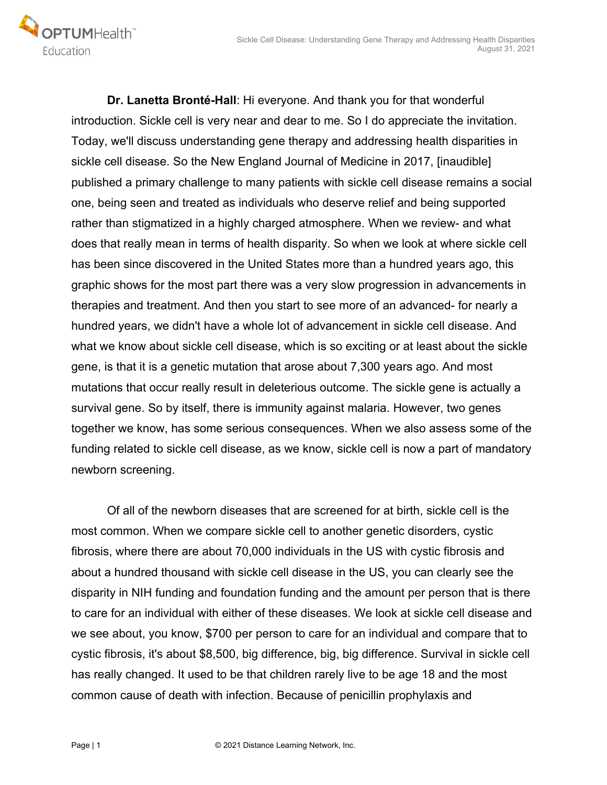

 **Dr. Lanetta Bronté-Hall**: Hi everyone. And thank you for that wonderful introduction. Sickle cell is very near and dear to me. So I do appreciate the invitation. Today, we'll discuss understanding gene therapy and addressing health disparities in sickle cell disease. So the New England Journal of Medicine in 2017, [inaudible] published a primary challenge to many patients with sickle cell disease remains a social one, being seen and treated as individuals who deserve relief and being supported rather than stigmatized in a highly charged atmosphere. When we review- and what does that really mean in terms of health disparity. So when we look at where sickle cell has been since discovered in the United States more than a hundred years ago, this graphic shows for the most part there was a very slow progression in advancements in therapies and treatment. And then you start to see more of an advanced- for nearly a hundred years, we didn't have a whole lot of advancement in sickle cell disease. And what we know about sickle cell disease, which is so exciting or at least about the sickle gene, is that it is a genetic mutation that arose about 7,300 years ago. And most mutations that occur really result in deleterious outcome. The sickle gene is actually a survival gene. So by itself, there is immunity against malaria. However, two genes together we know, has some serious consequences. When we also assess some of the funding related to sickle cell disease, as we know, sickle cell is now a part of mandatory newborn screening.

 Of all of the newborn diseases that are screened for at birth, sickle cell is the most common. When we compare sickle cell to another genetic disorders, cystic fibrosis, where there are about 70,000 individuals in the US with cystic fibrosis and about a hundred thousand with sickle cell disease in the US, you can clearly see the disparity in NIH funding and foundation funding and the amount per person that is there to care for an individual with either of these diseases. We look at sickle cell disease and we see about, you know, \$700 per person to care for an individual and compare that to cystic fibrosis, it's about \$8,500, big difference, big, big difference. Survival in sickle cell has really changed. It used to be that children rarely live to be age 18 and the most common cause of death with infection. Because of penicillin prophylaxis and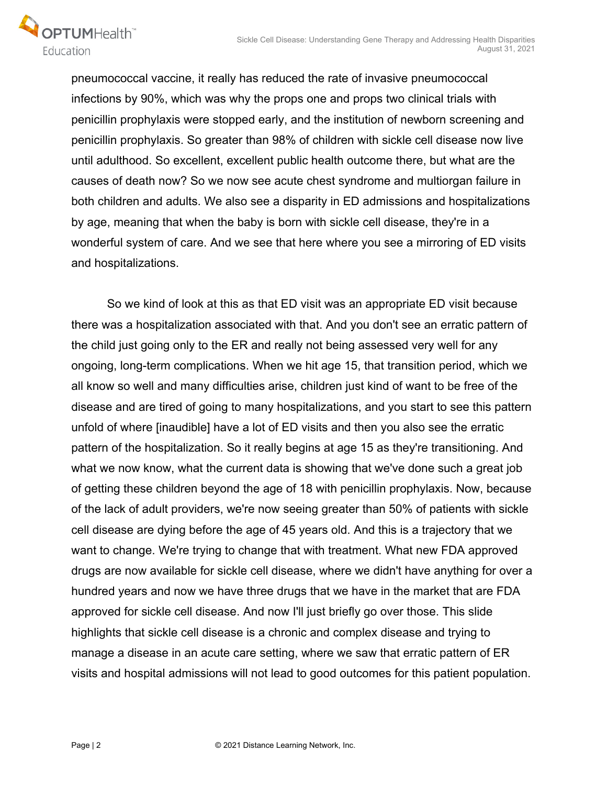

pneumococcal vaccine, it really has reduced the rate of invasive pneumococcal infections by 90%, which was why the props one and props two clinical trials with penicillin prophylaxis were stopped early, and the institution of newborn screening and penicillin prophylaxis. So greater than 98% of children with sickle cell disease now live until adulthood. So excellent, excellent public health outcome there, but what are the causes of death now? So we now see acute chest syndrome and multiorgan failure in both children and adults. We also see a disparity in ED admissions and hospitalizations by age, meaning that when the baby is born with sickle cell disease, they're in a wonderful system of care. And we see that here where you see a mirroring of ED visits and hospitalizations.

 So we kind of look at this as that ED visit was an appropriate ED visit because there was a hospitalization associated with that. And you don't see an erratic pattern of the child just going only to the ER and really not being assessed very well for any ongoing, long-term complications. When we hit age 15, that transition period, which we all know so well and many difficulties arise, children just kind of want to be free of the disease and are tired of going to many hospitalizations, and you start to see this pattern unfold of where [inaudible] have a lot of ED visits and then you also see the erratic pattern of the hospitalization. So it really begins at age 15 as they're transitioning. And what we now know, what the current data is showing that we've done such a great job of getting these children beyond the age of 18 with penicillin prophylaxis. Now, because of the lack of adult providers, we're now seeing greater than 50% of patients with sickle cell disease are dying before the age of 45 years old. And this is a trajectory that we want to change. We're trying to change that with treatment. What new FDA approved drugs are now available for sickle cell disease, where we didn't have anything for over a hundred years and now we have three drugs that we have in the market that are FDA approved for sickle cell disease. And now I'll just briefly go over those. This slide highlights that sickle cell disease is a chronic and complex disease and trying to manage a disease in an acute care setting, where we saw that erratic pattern of ER visits and hospital admissions will not lead to good outcomes for this patient population.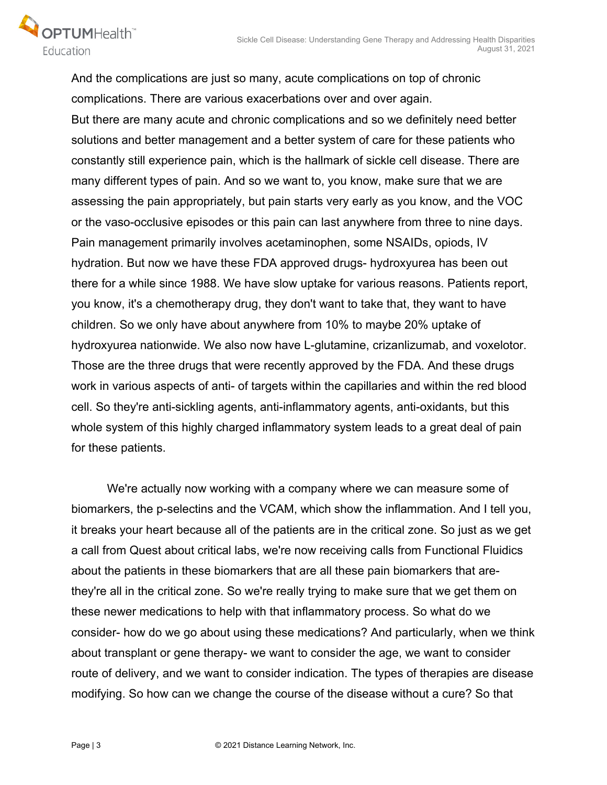

And the complications are just so many, acute complications on top of chronic complications. There are various exacerbations over and over again. But there are many acute and chronic complications and so we definitely need better solutions and better management and a better system of care for these patients who constantly still experience pain, which is the hallmark of sickle cell disease. There are many different types of pain. And so we want to, you know, make sure that we are assessing the pain appropriately, but pain starts very early as you know, and the VOC or the vaso-occlusive episodes or this pain can last anywhere from three to nine days. Pain management primarily involves acetaminophen, some NSAIDs, opiods, IV hydration. But now we have these FDA approved drugs- hydroxyurea has been out there for a while since 1988. We have slow uptake for various reasons. Patients report, you know, it's a chemotherapy drug, they don't want to take that, they want to have children. So we only have about anywhere from 10% to maybe 20% uptake of hydroxyurea nationwide. We also now have L-glutamine, crizanlizumab, and voxelotor. Those are the three drugs that were recently approved by the FDA. And these drugs work in various aspects of anti- of targets within the capillaries and within the red blood cell. So they're anti-sickling agents, anti-inflammatory agents, anti-oxidants, but this whole system of this highly charged inflammatory system leads to a great deal of pain for these patients.

 We're actually now working with a company where we can measure some of biomarkers, the p-selectins and the VCAM, which show the inflammation. And I tell you, it breaks your heart because all of the patients are in the critical zone. So just as we get a call from Quest about critical labs, we're now receiving calls from Functional Fluidics about the patients in these biomarkers that are all these pain biomarkers that arethey're all in the critical zone. So we're really trying to make sure that we get them on these newer medications to help with that inflammatory process. So what do we consider- how do we go about using these medications? And particularly, when we think about transplant or gene therapy- we want to consider the age, we want to consider route of delivery, and we want to consider indication. The types of therapies are disease modifying. So how can we change the course of the disease without a cure? So that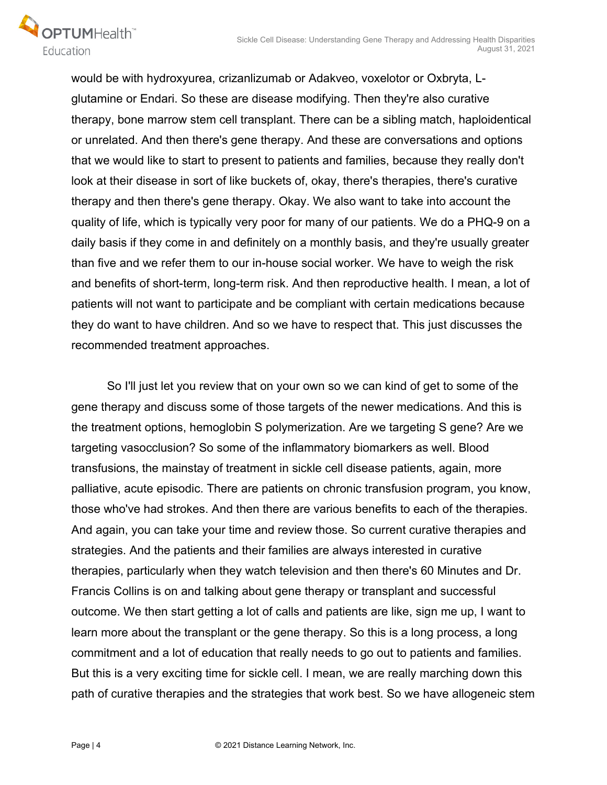

would be with hydroxyurea, crizanlizumab or Adakveo, voxelotor or Oxbryta, Lglutamine or Endari. So these are disease modifying. Then they're also curative therapy, bone marrow stem cell transplant. There can be a sibling match, haploidentical or unrelated. And then there's gene therapy. And these are conversations and options that we would like to start to present to patients and families, because they really don't look at their disease in sort of like buckets of, okay, there's therapies, there's curative therapy and then there's gene therapy. Okay. We also want to take into account the quality of life, which is typically very poor for many of our patients. We do a PHQ-9 on a daily basis if they come in and definitely on a monthly basis, and they're usually greater than five and we refer them to our in-house social worker. We have to weigh the risk and benefits of short-term, long-term risk. And then reproductive health. I mean, a lot of patients will not want to participate and be compliant with certain medications because they do want to have children. And so we have to respect that. This just discusses the recommended treatment approaches.

 So I'll just let you review that on your own so we can kind of get to some of the gene therapy and discuss some of those targets of the newer medications. And this is the treatment options, hemoglobin S polymerization. Are we targeting S gene? Are we targeting vasocclusion? So some of the inflammatory biomarkers as well. Blood transfusions, the mainstay of treatment in sickle cell disease patients, again, more palliative, acute episodic. There are patients on chronic transfusion program, you know, those who've had strokes. And then there are various benefits to each of the therapies. And again, you can take your time and review those. So current curative therapies and strategies. And the patients and their families are always interested in curative therapies, particularly when they watch television and then there's 60 Minutes and Dr. Francis Collins is on and talking about gene therapy or transplant and successful outcome. We then start getting a lot of calls and patients are like, sign me up, I want to learn more about the transplant or the gene therapy. So this is a long process, a long commitment and a lot of education that really needs to go out to patients and families. But this is a very exciting time for sickle cell. I mean, we are really marching down this path of curative therapies and the strategies that work best. So we have allogeneic stem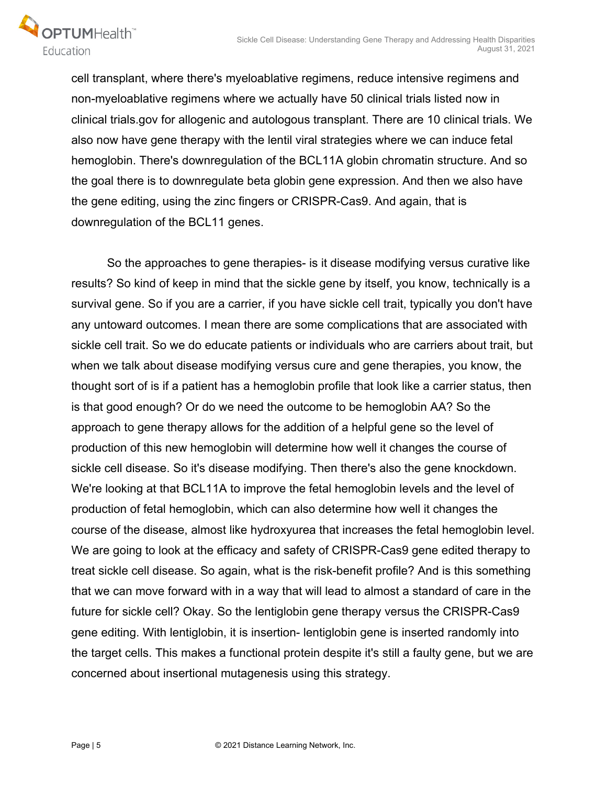

cell transplant, where there's myeloablative regimens, reduce intensive regimens and non-myeloablative regimens where we actually have 50 clinical trials listed now in clinical trials.gov for allogenic and autologous transplant. There are 10 clinical trials. We also now have gene therapy with the lentil viral strategies where we can induce fetal hemoglobin. There's downregulation of the BCL11A globin chromatin structure. And so the goal there is to downregulate beta globin gene expression. And then we also have the gene editing, using the zinc fingers or CRISPR-Cas9. And again, that is downregulation of the BCL11 genes.

 So the approaches to gene therapies- is it disease modifying versus curative like results? So kind of keep in mind that the sickle gene by itself, you know, technically is a survival gene. So if you are a carrier, if you have sickle cell trait, typically you don't have any untoward outcomes. I mean there are some complications that are associated with sickle cell trait. So we do educate patients or individuals who are carriers about trait, but when we talk about disease modifying versus cure and gene therapies, you know, the thought sort of is if a patient has a hemoglobin profile that look like a carrier status, then is that good enough? Or do we need the outcome to be hemoglobin AA? So the approach to gene therapy allows for the addition of a helpful gene so the level of production of this new hemoglobin will determine how well it changes the course of sickle cell disease. So it's disease modifying. Then there's also the gene knockdown. We're looking at that BCL11A to improve the fetal hemoglobin levels and the level of production of fetal hemoglobin, which can also determine how well it changes the course of the disease, almost like hydroxyurea that increases the fetal hemoglobin level. We are going to look at the efficacy and safety of CRISPR-Cas9 gene edited therapy to treat sickle cell disease. So again, what is the risk-benefit profile? And is this something that we can move forward with in a way that will lead to almost a standard of care in the future for sickle cell? Okay. So the lentiglobin gene therapy versus the CRISPR-Cas9 gene editing. With lentiglobin, it is insertion- lentiglobin gene is inserted randomly into the target cells. This makes a functional protein despite it's still a faulty gene, but we are concerned about insertional mutagenesis using this strategy.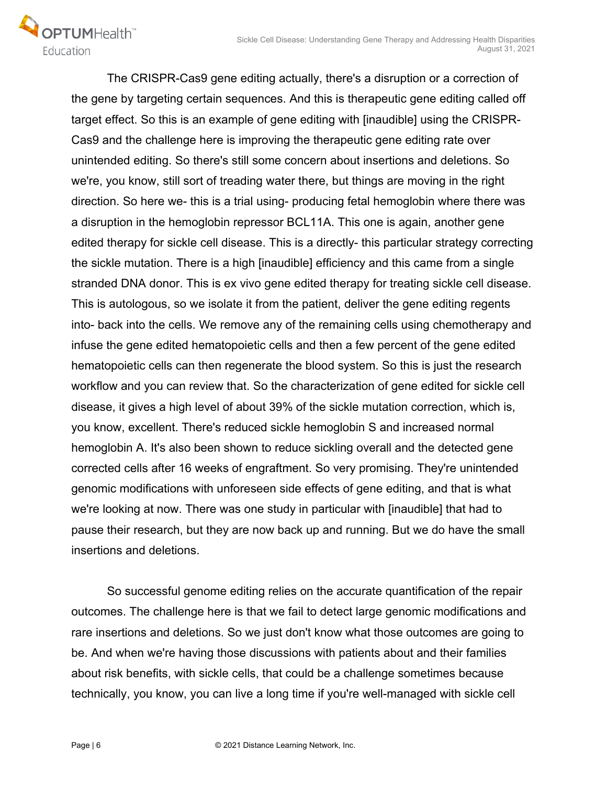OPTUMHealth

 The CRISPR-Cas9 gene editing actually, there's a disruption or a correction of the gene by targeting certain sequences. And this is therapeutic gene editing called off target effect. So this is an example of gene editing with [inaudible] using the CRISPR-Cas9 and the challenge here is improving the therapeutic gene editing rate over unintended editing. So there's still some concern about insertions and deletions. So we're, you know, still sort of treading water there, but things are moving in the right direction. So here we- this is a trial using- producing fetal hemoglobin where there was a disruption in the hemoglobin repressor BCL11A. This one is again, another gene edited therapy for sickle cell disease. This is a directly- this particular strategy correcting the sickle mutation. There is a high [inaudible] efficiency and this came from a single stranded DNA donor. This is ex vivo gene edited therapy for treating sickle cell disease. This is autologous, so we isolate it from the patient, deliver the gene editing regents into- back into the cells. We remove any of the remaining cells using chemotherapy and infuse the gene edited hematopoietic cells and then a few percent of the gene edited hematopoietic cells can then regenerate the blood system. So this is just the research workflow and you can review that. So the characterization of gene edited for sickle cell disease, it gives a high level of about 39% of the sickle mutation correction, which is, you know, excellent. There's reduced sickle hemoglobin S and increased normal hemoglobin A. It's also been shown to reduce sickling overall and the detected gene corrected cells after 16 weeks of engraftment. So very promising. They're unintended genomic modifications with unforeseen side effects of gene editing, and that is what we're looking at now. There was one study in particular with [inaudible] that had to pause their research, but they are now back up and running. But we do have the small insertions and deletions.

 So successful genome editing relies on the accurate quantification of the repair outcomes. The challenge here is that we fail to detect large genomic modifications and rare insertions and deletions. So we just don't know what those outcomes are going to be. And when we're having those discussions with patients about and their families about risk benefits, with sickle cells, that could be a challenge sometimes because technically, you know, you can live a long time if you're well-managed with sickle cell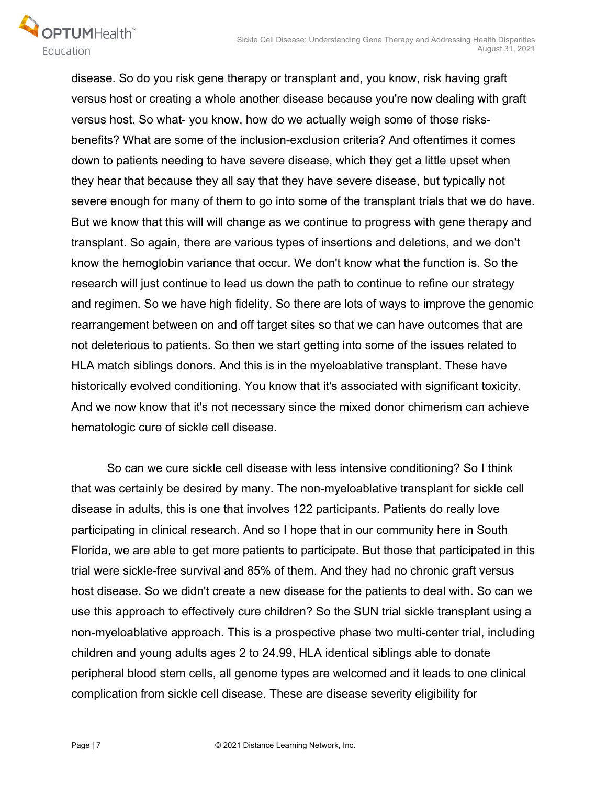

disease. So do you risk gene therapy or transplant and, you know, risk having graft versus host or creating a whole another disease because you're now dealing with graft versus host. So what- you know, how do we actually weigh some of those risksbenefits? What are some of the inclusion-exclusion criteria? And oftentimes it comes down to patients needing to have severe disease, which they get a little upset when they hear that because they all say that they have severe disease, but typically not severe enough for many of them to go into some of the transplant trials that we do have. But we know that this will will change as we continue to progress with gene therapy and transplant. So again, there are various types of insertions and deletions, and we don't know the hemoglobin variance that occur. We don't know what the function is. So the research will just continue to lead us down the path to continue to refine our strategy and regimen. So we have high fidelity. So there are lots of ways to improve the genomic rearrangement between on and off target sites so that we can have outcomes that are not deleterious to patients. So then we start getting into some of the issues related to HLA match siblings donors. And this is in the myeloablative transplant. These have historically evolved conditioning. You know that it's associated with significant toxicity. And we now know that it's not necessary since the mixed donor chimerism can achieve hematologic cure of sickle cell disease.

 So can we cure sickle cell disease with less intensive conditioning? So I think that was certainly be desired by many. The non-myeloablative transplant for sickle cell disease in adults, this is one that involves 122 participants. Patients do really love participating in clinical research. And so I hope that in our community here in South Florida, we are able to get more patients to participate. But those that participated in this trial were sickle-free survival and 85% of them. And they had no chronic graft versus host disease. So we didn't create a new disease for the patients to deal with. So can we use this approach to effectively cure children? So the SUN trial sickle transplant using a non-myeloablative approach. This is a prospective phase two multi-center trial, including children and young adults ages 2 to 24.99, HLA identical siblings able to donate peripheral blood stem cells, all genome types are welcomed and it leads to one clinical complication from sickle cell disease. These are disease severity eligibility for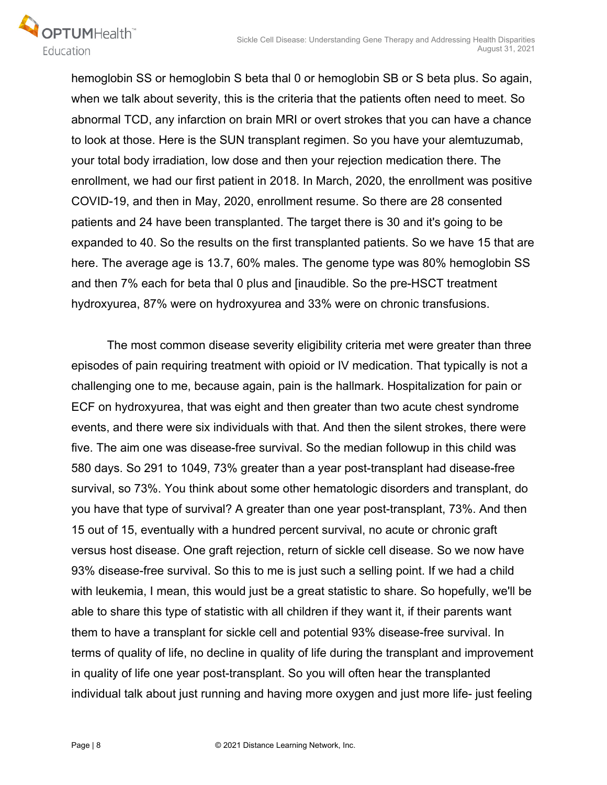

hemoglobin SS or hemoglobin S beta thal 0 or hemoglobin SB or S beta plus. So again, when we talk about severity, this is the criteria that the patients often need to meet. So abnormal TCD, any infarction on brain MRI or overt strokes that you can have a chance to look at those. Here is the SUN transplant regimen. So you have your alemtuzumab, your total body irradiation, low dose and then your rejection medication there. The enrollment, we had our first patient in 2018. In March, 2020, the enrollment was positive COVID-19, and then in May, 2020, enrollment resume. So there are 28 consented patients and 24 have been transplanted. The target there is 30 and it's going to be expanded to 40. So the results on the first transplanted patients. So we have 15 that are here. The average age is 13.7, 60% males. The genome type was 80% hemoglobin SS and then 7% each for beta thal 0 plus and [inaudible. So the pre-HSCT treatment hydroxyurea, 87% were on hydroxyurea and 33% were on chronic transfusions.

 The most common disease severity eligibility criteria met were greater than three episodes of pain requiring treatment with opioid or IV medication. That typically is not a challenging one to me, because again, pain is the hallmark. Hospitalization for pain or ECF on hydroxyurea, that was eight and then greater than two acute chest syndrome events, and there were six individuals with that. And then the silent strokes, there were five. The aim one was disease-free survival. So the median followup in this child was 580 days. So 291 to 1049, 73% greater than a year post-transplant had disease-free survival, so 73%. You think about some other hematologic disorders and transplant, do you have that type of survival? A greater than one year post-transplant, 73%. And then 15 out of 15, eventually with a hundred percent survival, no acute or chronic graft versus host disease. One graft rejection, return of sickle cell disease. So we now have 93% disease-free survival. So this to me is just such a selling point. If we had a child with leukemia, I mean, this would just be a great statistic to share. So hopefully, we'll be able to share this type of statistic with all children if they want it, if their parents want them to have a transplant for sickle cell and potential 93% disease-free survival. In terms of quality of life, no decline in quality of life during the transplant and improvement in quality of life one year post-transplant. So you will often hear the transplanted individual talk about just running and having more oxygen and just more life- just feeling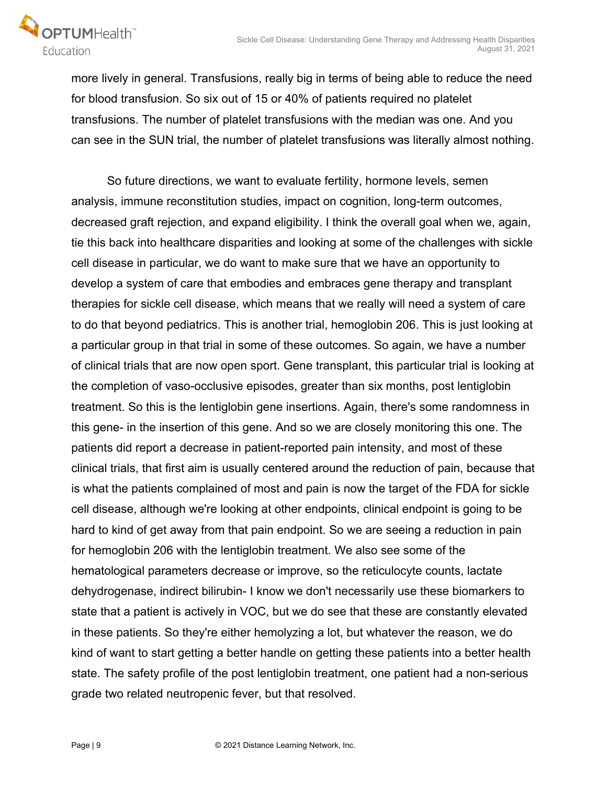



more lively in general. Transfusions, really big in terms of being able to reduce the need for blood transfusion. So six out of 15 or 40% of patients required no platelet transfusions. The number of platelet transfusions with the median was one. And you can see in the SUN trial, the number of platelet transfusions was literally almost nothing.

 So future directions, we want to evaluate fertility, hormone levels, semen analysis, immune reconstitution studies, impact on cognition, long-term outcomes, decreased graft rejection, and expand eligibility. I think the overall goal when we, again, tie this back into healthcare disparities and looking at some of the challenges with sickle cell disease in particular, we do want to make sure that we have an opportunity to develop a system of care that embodies and embraces gene therapy and transplant therapies for sickle cell disease, which means that we really will need a system of care to do that beyond pediatrics. This is another trial, hemoglobin 206. This is just looking at a particular group in that trial in some of these outcomes. So again, we have a number of clinical trials that are now open sport. Gene transplant, this particular trial is looking at the completion of vaso-occlusive episodes, greater than six months, post lentiglobin treatment. So this is the lentiglobin gene insertions. Again, there's some randomness in this gene- in the insertion of this gene. And so we are closely monitoring this one. The patients did report a decrease in patient-reported pain intensity, and most of these clinical trials, that first aim is usually centered around the reduction of pain, because that is what the patients complained of most and pain is now the target of the FDA for sickle cell disease, although we're looking at other endpoints, clinical endpoint is going to be hard to kind of get away from that pain endpoint. So we are seeing a reduction in pain for hemoglobin 206 with the lentiglobin treatment. We also see some of the hematological parameters decrease or improve, so the reticulocyte counts, lactate dehydrogenase, indirect bilirubin- I know we don't necessarily use these biomarkers to state that a patient is actively in VOC, but we do see that these are constantly elevated in these patients. So they're either hemolyzing a lot, but whatever the reason, we do kind of want to start getting a better handle on getting these patients into a better health state. The safety profile of the post lentiglobin treatment, one patient had a non-serious grade two related neutropenic fever, but that resolved.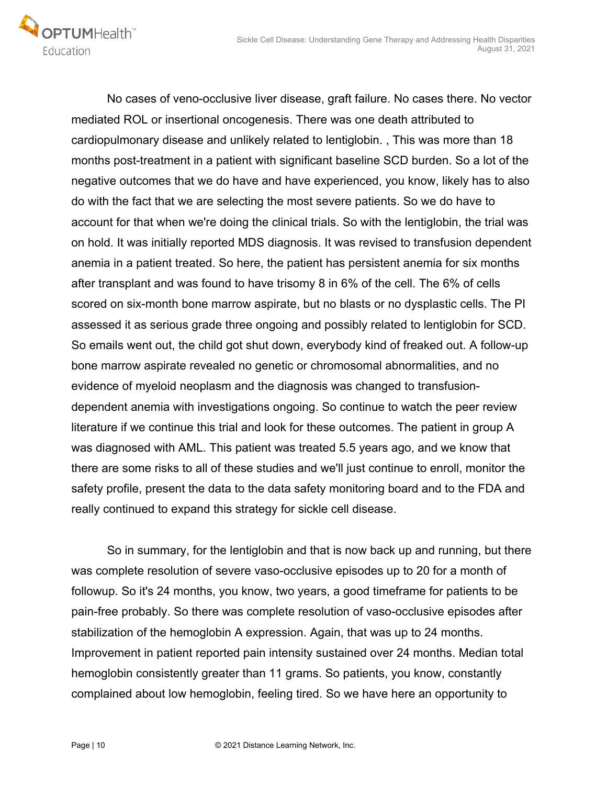

 No cases of veno-occlusive liver disease, graft failure. No cases there. No vector mediated ROL or insertional oncogenesis. There was one death attributed to cardiopulmonary disease and unlikely related to lentiglobin. , This was more than 18 months post-treatment in a patient with significant baseline SCD burden. So a lot of the negative outcomes that we do have and have experienced, you know, likely has to also do with the fact that we are selecting the most severe patients. So we do have to account for that when we're doing the clinical trials. So with the lentiglobin, the trial was on hold. It was initially reported MDS diagnosis. It was revised to transfusion dependent anemia in a patient treated. So here, the patient has persistent anemia for six months after transplant and was found to have trisomy 8 in 6% of the cell. The 6% of cells scored on six-month bone marrow aspirate, but no blasts or no dysplastic cells. The PI assessed it as serious grade three ongoing and possibly related to lentiglobin for SCD. So emails went out, the child got shut down, everybody kind of freaked out. A follow-up bone marrow aspirate revealed no genetic or chromosomal abnormalities, and no evidence of myeloid neoplasm and the diagnosis was changed to transfusiondependent anemia with investigations ongoing. So continue to watch the peer review literature if we continue this trial and look for these outcomes. The patient in group A was diagnosed with AML. This patient was treated 5.5 years ago, and we know that there are some risks to all of these studies and we'll just continue to enroll, monitor the safety profile, present the data to the data safety monitoring board and to the FDA and really continued to expand this strategy for sickle cell disease.

 So in summary, for the lentiglobin and that is now back up and running, but there was complete resolution of severe vaso-occlusive episodes up to 20 for a month of followup. So it's 24 months, you know, two years, a good timeframe for patients to be pain-free probably. So there was complete resolution of vaso-occlusive episodes after stabilization of the hemoglobin A expression. Again, that was up to 24 months. Improvement in patient reported pain intensity sustained over 24 months. Median total hemoglobin consistently greater than 11 grams. So patients, you know, constantly complained about low hemoglobin, feeling tired. So we have here an opportunity to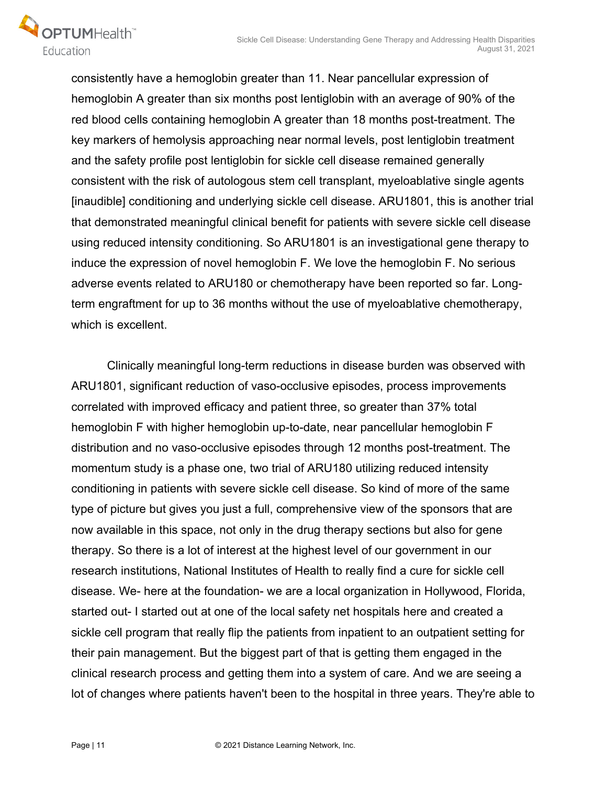

consistently have a hemoglobin greater than 11. Near pancellular expression of hemoglobin A greater than six months post lentiglobin with an average of 90% of the red blood cells containing hemoglobin A greater than 18 months post-treatment. The key markers of hemolysis approaching near normal levels, post lentiglobin treatment and the safety profile post lentiglobin for sickle cell disease remained generally consistent with the risk of autologous stem cell transplant, myeloablative single agents [inaudible] conditioning and underlying sickle cell disease. ARU1801, this is another trial that demonstrated meaningful clinical benefit for patients with severe sickle cell disease using reduced intensity conditioning. So ARU1801 is an investigational gene therapy to induce the expression of novel hemoglobin F. We love the hemoglobin F. No serious adverse events related to ARU180 or chemotherapy have been reported so far. Longterm engraftment for up to 36 months without the use of myeloablative chemotherapy, which is excellent.

 Clinically meaningful long-term reductions in disease burden was observed with ARU1801, significant reduction of vaso-occlusive episodes, process improvements correlated with improved efficacy and patient three, so greater than 37% total hemoglobin F with higher hemoglobin up-to-date, near pancellular hemoglobin F distribution and no vaso-occlusive episodes through 12 months post-treatment. The momentum study is a phase one, two trial of ARU180 utilizing reduced intensity conditioning in patients with severe sickle cell disease. So kind of more of the same type of picture but gives you just a full, comprehensive view of the sponsors that are now available in this space, not only in the drug therapy sections but also for gene therapy. So there is a lot of interest at the highest level of our government in our research institutions, National Institutes of Health to really find a cure for sickle cell disease. We- here at the foundation- we are a local organization in Hollywood, Florida, started out- I started out at one of the local safety net hospitals here and created a sickle cell program that really flip the patients from inpatient to an outpatient setting for their pain management. But the biggest part of that is getting them engaged in the clinical research process and getting them into a system of care. And we are seeing a lot of changes where patients haven't been to the hospital in three years. They're able to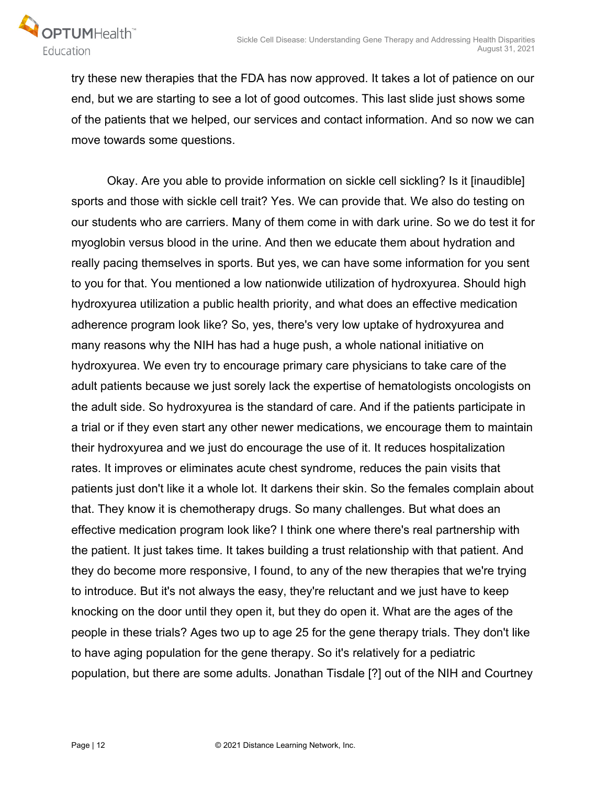

try these new therapies that the FDA has now approved. It takes a lot of patience on our end, but we are starting to see a lot of good outcomes. This last slide just shows some of the patients that we helped, our services and contact information. And so now we can move towards some questions.

 Okay. Are you able to provide information on sickle cell sickling? Is it [inaudible] sports and those with sickle cell trait? Yes. We can provide that. We also do testing on our students who are carriers. Many of them come in with dark urine. So we do test it for myoglobin versus blood in the urine. And then we educate them about hydration and really pacing themselves in sports. But yes, we can have some information for you sent to you for that. You mentioned a low nationwide utilization of hydroxyurea. Should high hydroxyurea utilization a public health priority, and what does an effective medication adherence program look like? So, yes, there's very low uptake of hydroxyurea and many reasons why the NIH has had a huge push, a whole national initiative on hydroxyurea. We even try to encourage primary care physicians to take care of the adult patients because we just sorely lack the expertise of hematologists oncologists on the adult side. So hydroxyurea is the standard of care. And if the patients participate in a trial or if they even start any other newer medications, we encourage them to maintain their hydroxyurea and we just do encourage the use of it. It reduces hospitalization rates. It improves or eliminates acute chest syndrome, reduces the pain visits that patients just don't like it a whole lot. It darkens their skin. So the females complain about that. They know it is chemotherapy drugs. So many challenges. But what does an effective medication program look like? I think one where there's real partnership with the patient. It just takes time. It takes building a trust relationship with that patient. And they do become more responsive, I found, to any of the new therapies that we're trying to introduce. But it's not always the easy, they're reluctant and we just have to keep knocking on the door until they open it, but they do open it. What are the ages of the people in these trials? Ages two up to age 25 for the gene therapy trials. They don't like to have aging population for the gene therapy. So it's relatively for a pediatric population, but there are some adults. Jonathan Tisdale [?] out of the NIH and Courtney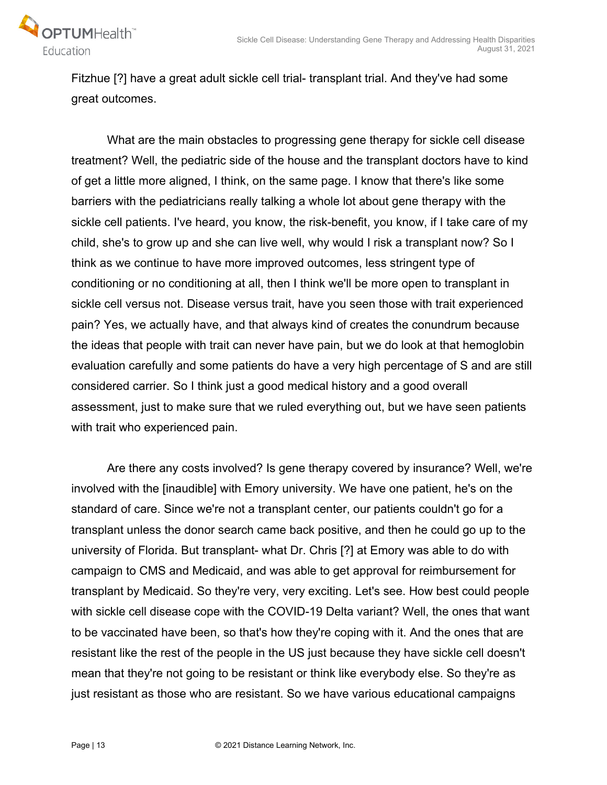

Fitzhue [?] have a great adult sickle cell trial- transplant trial. And they've had some great outcomes.

 What are the main obstacles to progressing gene therapy for sickle cell disease treatment? Well, the pediatric side of the house and the transplant doctors have to kind of get a little more aligned, I think, on the same page. I know that there's like some barriers with the pediatricians really talking a whole lot about gene therapy with the sickle cell patients. I've heard, you know, the risk-benefit, you know, if I take care of my child, she's to grow up and she can live well, why would I risk a transplant now? So I think as we continue to have more improved outcomes, less stringent type of conditioning or no conditioning at all, then I think we'll be more open to transplant in sickle cell versus not. Disease versus trait, have you seen those with trait experienced pain? Yes, we actually have, and that always kind of creates the conundrum because the ideas that people with trait can never have pain, but we do look at that hemoglobin evaluation carefully and some patients do have a very high percentage of S and are still considered carrier. So I think just a good medical history and a good overall assessment, just to make sure that we ruled everything out, but we have seen patients with trait who experienced pain.

 Are there any costs involved? Is gene therapy covered by insurance? Well, we're involved with the [inaudible] with Emory university. We have one patient, he's on the standard of care. Since we're not a transplant center, our patients couldn't go for a transplant unless the donor search came back positive, and then he could go up to the university of Florida. But transplant- what Dr. Chris [?] at Emory was able to do with campaign to CMS and Medicaid, and was able to get approval for reimbursement for transplant by Medicaid. So they're very, very exciting. Let's see. How best could people with sickle cell disease cope with the COVID-19 Delta variant? Well, the ones that want to be vaccinated have been, so that's how they're coping with it. And the ones that are resistant like the rest of the people in the US just because they have sickle cell doesn't mean that they're not going to be resistant or think like everybody else. So they're as just resistant as those who are resistant. So we have various educational campaigns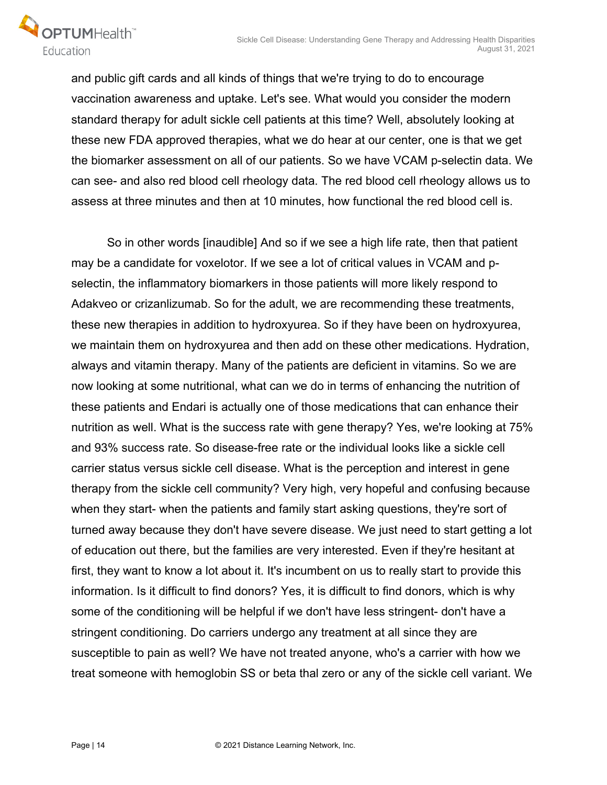

and public gift cards and all kinds of things that we're trying to do to encourage vaccination awareness and uptake. Let's see. What would you consider the modern standard therapy for adult sickle cell patients at this time? Well, absolutely looking at these new FDA approved therapies, what we do hear at our center, one is that we get the biomarker assessment on all of our patients. So we have VCAM p-selectin data. We can see- and also red blood cell rheology data. The red blood cell rheology allows us to assess at three minutes and then at 10 minutes, how functional the red blood cell is.

 So in other words [inaudible] And so if we see a high life rate, then that patient may be a candidate for voxelotor. If we see a lot of critical values in VCAM and pselectin, the inflammatory biomarkers in those patients will more likely respond to Adakveo or crizanlizumab. So for the adult, we are recommending these treatments, these new therapies in addition to hydroxyurea. So if they have been on hydroxyurea, we maintain them on hydroxyurea and then add on these other medications. Hydration, always and vitamin therapy. Many of the patients are deficient in vitamins. So we are now looking at some nutritional, what can we do in terms of enhancing the nutrition of these patients and Endari is actually one of those medications that can enhance their nutrition as well. What is the success rate with gene therapy? Yes, we're looking at 75% and 93% success rate. So disease-free rate or the individual looks like a sickle cell carrier status versus sickle cell disease. What is the perception and interest in gene therapy from the sickle cell community? Very high, very hopeful and confusing because when they start- when the patients and family start asking questions, they're sort of turned away because they don't have severe disease. We just need to start getting a lot of education out there, but the families are very interested. Even if they're hesitant at first, they want to know a lot about it. It's incumbent on us to really start to provide this information. Is it difficult to find donors? Yes, it is difficult to find donors, which is why some of the conditioning will be helpful if we don't have less stringent- don't have a stringent conditioning. Do carriers undergo any treatment at all since they are susceptible to pain as well? We have not treated anyone, who's a carrier with how we treat someone with hemoglobin SS or beta thal zero or any of the sickle cell variant. We